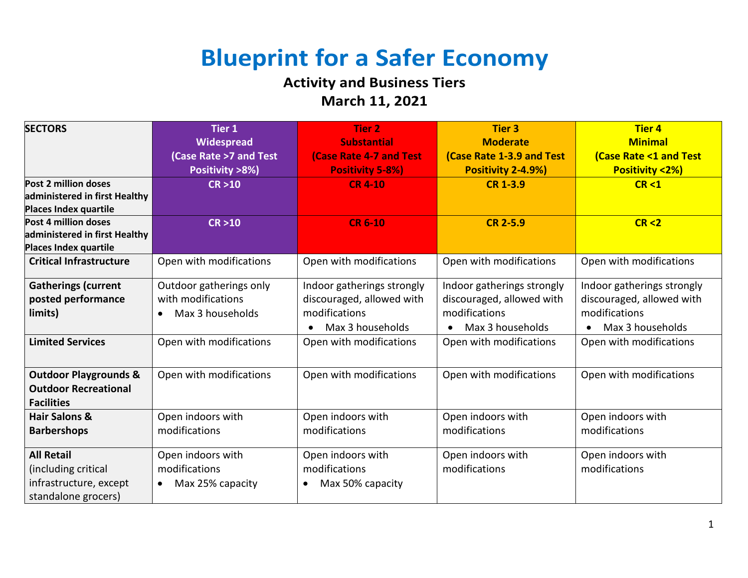## **Blueprint for a Safer Economy**

## **Activity and Business Tiers March 11, 2021**

| <b>SECTORS</b>                   | <b>Tier 1</b><br>Widespread   | <b>Tier 2</b><br><b>Substantial</b> | <b>Tier 3</b><br><b>Moderate</b> | <b>Tier 4</b><br><b>Minimal</b>  |
|----------------------------------|-------------------------------|-------------------------------------|----------------------------------|----------------------------------|
|                                  | (Case Rate >7 and Test        | <b>(Case Rate 4-7 and Test</b>      | <b>(Case Rate 1-3.9 and Test</b> | <b>(Case Rate &lt;1 and Test</b> |
|                                  | Positivity >8%)               | <b>Positivity 5-8%)</b>             | Positivity 2-4.9%)               | <b>Positivity &lt;2%)</b>        |
| Post 2 million doses             | CR > 10                       | <b>CR 4-10</b>                      | <b>CR 1-3.9</b>                  | CR < 1                           |
| administered in first Healthy    |                               |                                     |                                  |                                  |
| <b>Places Index quartile</b>     |                               |                                     |                                  |                                  |
| Post 4 million doses             | CR > 10                       | <b>CR 6-10</b>                      | <b>CR 2-5.9</b>                  | CR < 2                           |
| administered in first Healthy    |                               |                                     |                                  |                                  |
| Places Index quartile            |                               |                                     |                                  |                                  |
| <b>Critical Infrastructure</b>   | Open with modifications       | Open with modifications             | Open with modifications          | Open with modifications          |
| <b>Gatherings (current</b>       | Outdoor gatherings only       | Indoor gatherings strongly          | Indoor gatherings strongly       | Indoor gatherings strongly       |
| posted performance               | with modifications            | discouraged, allowed with           | discouraged, allowed with        | discouraged, allowed with        |
| limits)                          | Max 3 households              | modifications                       | modifications                    | modifications                    |
|                                  |                               | Max 3 households                    | Max 3 households                 | Max 3 households<br>$\bullet$    |
| <b>Limited Services</b>          | Open with modifications       | Open with modifications             | Open with modifications          | Open with modifications          |
|                                  |                               |                                     |                                  |                                  |
| <b>Outdoor Playgrounds &amp;</b> | Open with modifications       | Open with modifications             | Open with modifications          | Open with modifications          |
| <b>Outdoor Recreational</b>      |                               |                                     |                                  |                                  |
| <b>Facilities</b>                |                               |                                     |                                  |                                  |
| <b>Hair Salons &amp;</b>         | Open indoors with             | Open indoors with                   | Open indoors with                | Open indoors with                |
| <b>Barbershops</b>               | modifications                 | modifications                       | modifications                    | modifications                    |
| <b>All Retail</b>                | Open indoors with             | Open indoors with                   | Open indoors with                | Open indoors with                |
| (including critical              | modifications                 | modifications                       | modifications                    | modifications                    |
| infrastructure, except           | Max 25% capacity<br>$\bullet$ | Max 50% capacity<br>$\bullet$       |                                  |                                  |
| standalone grocers)              |                               |                                     |                                  |                                  |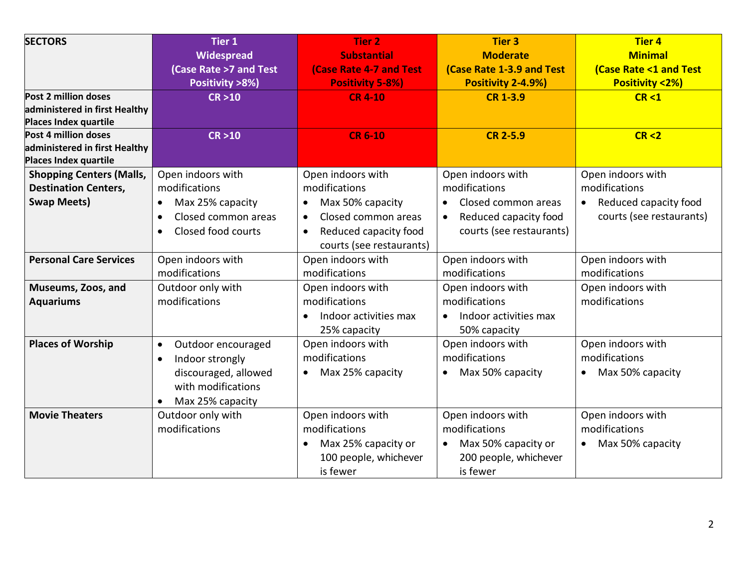| <b>SECTORS</b>                                | Tier 1                           | <b>Tier 2</b>                      | <b>Tier 3</b>                      | <b>Tier 4</b>                    |
|-----------------------------------------------|----------------------------------|------------------------------------|------------------------------------|----------------------------------|
|                                               | Widespread                       | <b>Substantial</b>                 | <b>Moderate</b>                    | <b>Minimal</b>                   |
|                                               | (Case Rate >7 and Test           | <b>(Case Rate 4-7 and Test</b>     | <b>(Case Rate 1-3.9 and Test</b>   | <b>(Case Rate &lt;1 and Test</b> |
|                                               | Positivity >8%)                  | <b>Positivity 5-8%)</b>            | Positivity 2-4.9%)                 | <b>Positivity &lt;2%)</b>        |
| Post 2 million doses                          | CR > 10                          | <b>CR 4-10</b>                     | <b>CR 1-3.9</b>                    | CR < 1                           |
| administered in first Healthy                 |                                  |                                    |                                    |                                  |
| Places Index quartile<br>Post 4 million doses |                                  |                                    |                                    |                                  |
| administered in first Healthy                 | CR > 10                          | <b>CR 6-10</b>                     | <b>CR 2-5.9</b>                    | CR < 2                           |
| Places Index quartile                         |                                  |                                    |                                    |                                  |
| <b>Shopping Centers (Malls,</b>               | Open indoors with                | Open indoors with                  | Open indoors with                  | Open indoors with                |
| <b>Destination Centers,</b>                   | modifications                    | modifications                      | modifications                      | modifications                    |
| <b>Swap Meets)</b>                            | Max 25% capacity<br>$\bullet$    | Max 50% capacity<br>$\bullet$      | Closed common areas<br>$\bullet$   | • Reduced capacity food          |
|                                               | Closed common areas<br>$\bullet$ | Closed common areas<br>$\bullet$   | Reduced capacity food<br>$\bullet$ | courts (see restaurants)         |
|                                               | Closed food courts<br>$\bullet$  | Reduced capacity food<br>$\bullet$ | courts (see restaurants)           |                                  |
|                                               |                                  | courts (see restaurants)           |                                    |                                  |
| <b>Personal Care Services</b>                 | Open indoors with                | Open indoors with                  | Open indoors with                  | Open indoors with                |
|                                               | modifications                    | modifications                      | modifications                      | modifications                    |
| Museums, Zoos, and                            | Outdoor only with                | Open indoors with                  | Open indoors with                  | Open indoors with                |
| <b>Aquariums</b>                              | modifications                    | modifications                      | modifications                      | modifications                    |
|                                               |                                  | Indoor activities max<br>$\bullet$ | Indoor activities max<br>$\bullet$ |                                  |
|                                               |                                  | 25% capacity                       | 50% capacity                       |                                  |
| <b>Places of Worship</b>                      | Outdoor encouraged<br>$\bullet$  | Open indoors with                  | Open indoors with                  | Open indoors with                |
|                                               | Indoor strongly<br>$\bullet$     | modifications                      | modifications                      | modifications                    |
|                                               | discouraged, allowed             | Max 25% capacity<br>$\bullet$      | Max 50% capacity<br>$\bullet$      | • Max 50% capacity               |
|                                               | with modifications               |                                    |                                    |                                  |
|                                               | Max 25% capacity                 |                                    |                                    |                                  |
| <b>Movie Theaters</b>                         | Outdoor only with                | Open indoors with                  | Open indoors with                  | Open indoors with                |
|                                               | modifications                    | modifications                      | modifications                      | modifications                    |
|                                               |                                  | Max 25% capacity or                | Max 50% capacity or<br>$\bullet$   | • Max 50% capacity               |
|                                               |                                  | 100 people, whichever              | 200 people, whichever              |                                  |
|                                               |                                  | is fewer                           | is fewer                           |                                  |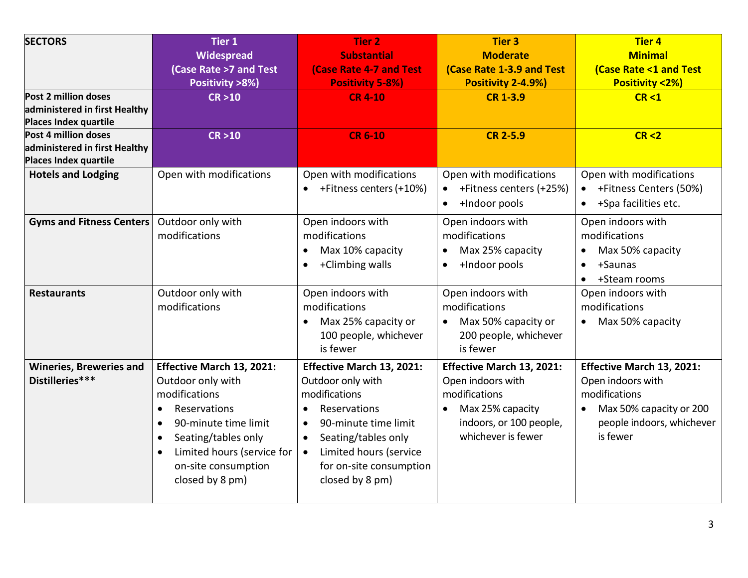| <b>SECTORS</b><br>Post 2 million doses<br>administered in first Healthy<br>Places Index quartile<br>Post 4 million doses | Tier 1<br>Widespread<br>(Case Rate >7 and Test<br>Positivity >8%)<br>CR > 10<br>CR > 10                                                                                                                                                                    | <b>Tier 2</b><br><b>Substantial</b><br><b>(Case Rate 4-7 and Test</b><br><b>Positivity 5-8%)</b><br><b>CR 4-10</b><br><b>CR 6-10</b>                                                                                             | <b>Tier 3</b><br><b>Moderate</b><br><b>(Case Rate 1-3.9 and Test</b><br>Positivity 2-4.9%)<br><b>CR 1-3.9</b><br><b>CR 2-5.9</b>     | <b>Tier 4</b><br><b>Minimal</b><br><b>(Case Rate &lt;1 and Test</b><br><b>Positivity &lt;2%)</b><br>CR < 1<br>CR < 2                |
|--------------------------------------------------------------------------------------------------------------------------|------------------------------------------------------------------------------------------------------------------------------------------------------------------------------------------------------------------------------------------------------------|----------------------------------------------------------------------------------------------------------------------------------------------------------------------------------------------------------------------------------|--------------------------------------------------------------------------------------------------------------------------------------|-------------------------------------------------------------------------------------------------------------------------------------|
| administered in first Healthy<br>Places Index quartile                                                                   |                                                                                                                                                                                                                                                            |                                                                                                                                                                                                                                  |                                                                                                                                      |                                                                                                                                     |
| <b>Hotels and Lodging</b>                                                                                                | Open with modifications                                                                                                                                                                                                                                    | Open with modifications<br>+Fitness centers (+10%)                                                                                                                                                                               | Open with modifications<br>+Fitness centers (+25%)<br>+Indoor pools<br>$\bullet$                                                     | Open with modifications<br>+Fitness Centers (50%)<br>+Spa facilities etc.<br>$\bullet$                                              |
| <b>Gyms and Fitness Centers</b>                                                                                          | Outdoor only with<br>modifications                                                                                                                                                                                                                         | Open indoors with<br>modifications<br>Max 10% capacity<br>$\bullet$<br>+Climbing walls<br>$\bullet$                                                                                                                              | Open indoors with<br>modifications<br>Max 25% capacity<br>$\bullet$<br>+Indoor pools<br>$\bullet$                                    | Open indoors with<br>modifications<br>Max 50% capacity<br>+Saunas<br>$\bullet$<br>+Steam rooms                                      |
| <b>Restaurants</b>                                                                                                       | Outdoor only with<br>modifications                                                                                                                                                                                                                         | Open indoors with<br>modifications<br>Max 25% capacity or<br>100 people, whichever<br>is fewer                                                                                                                                   | Open indoors with<br>modifications<br>Max 50% capacity or<br>$\bullet$<br>200 people, whichever<br>is fewer                          | Open indoors with<br>modifications<br>Max 50% capacity                                                                              |
| <b>Wineries, Breweries and</b><br>Distilleries***                                                                        | Effective March 13, 2021:<br>Outdoor only with<br>modifications<br>Reservations<br>$\bullet$<br>90-minute time limit<br>$\bullet$<br>Seating/tables only<br>$\bullet$<br>Limited hours (service for<br>$\bullet$<br>on-site consumption<br>closed by 8 pm) | Effective March 13, 2021:<br>Outdoor only with<br>modifications<br>Reservations<br>90-minute time limit<br>Seating/tables only<br>$\bullet$<br>Limited hours (service<br>$\bullet$<br>for on-site consumption<br>closed by 8 pm) | Effective March 13, 2021:<br>Open indoors with<br>modifications<br>Max 25% capacity<br>indoors, or 100 people,<br>whichever is fewer | Effective March 13, 2021:<br>Open indoors with<br>modifications<br>Max 50% capacity or 200<br>people indoors, whichever<br>is fewer |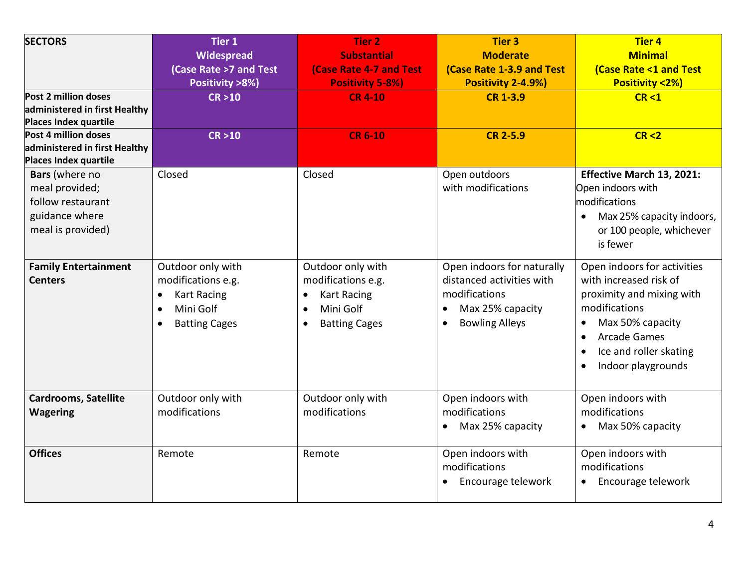| <b>SECTORS</b><br>Post 2 million doses<br>administered in first Healthy<br>Places Index quartile<br>Post 4 million doses<br>administered in first Healthy<br>Places Index quartile | <b>Tier 1</b><br>Widespread<br>(Case Rate >7 and Test<br>Positivity >8%)<br>CR > 10<br>CR > 10                                            | <b>Tier 2</b><br><b>Substantial</b><br><b>(Case Rate 4-7 and Test</b><br><b>Positivity 5-8%)</b><br><b>CR4-10</b><br><b>CR 6-10</b>       | <b>Tier 3</b><br><b>Moderate</b><br><b>(Case Rate 1-3.9 and Test</b><br>Positivity 2-4.9%)<br><b>CR 1-3.9</b><br><b>CR 2-5.9</b>   | <b>Tier 4</b><br><b>Minimal</b><br><b>(Case Rate &lt;1 and Test</b><br><b>Positivity &lt;2%)</b><br>CR < 1<br>CR < 2                                                                                        |
|------------------------------------------------------------------------------------------------------------------------------------------------------------------------------------|-------------------------------------------------------------------------------------------------------------------------------------------|-------------------------------------------------------------------------------------------------------------------------------------------|------------------------------------------------------------------------------------------------------------------------------------|-------------------------------------------------------------------------------------------------------------------------------------------------------------------------------------------------------------|
| Bars (where no<br>meal provided;<br>follow restaurant<br>guidance where<br>meal is provided)                                                                                       | Closed                                                                                                                                    | Closed                                                                                                                                    | Open outdoors<br>with modifications                                                                                                | Effective March 13, 2021:<br>Open indoors with<br>modifications<br>Max 25% capacity indoors,<br>$\bullet$<br>or 100 people, whichever<br>is fewer                                                           |
| <b>Family Entertainment</b><br><b>Centers</b>                                                                                                                                      | Outdoor only with<br>modifications e.g.<br><b>Kart Racing</b><br>$\bullet$<br>Mini Golf<br>$\bullet$<br><b>Batting Cages</b><br>$\bullet$ | Outdoor only with<br>modifications e.g.<br><b>Kart Racing</b><br>$\bullet$<br>Mini Golf<br>$\bullet$<br><b>Batting Cages</b><br>$\bullet$ | Open indoors for naturally<br>distanced activities with<br>modifications<br>Max 25% capacity<br><b>Bowling Alleys</b><br>$\bullet$ | Open indoors for activities<br>with increased risk of<br>proximity and mixing with<br>modifications<br>Max 50% capacity<br><b>Arcade Games</b><br>$\bullet$<br>Ice and roller skating<br>Indoor playgrounds |
| <b>Cardrooms, Satellite</b><br><b>Wagering</b>                                                                                                                                     | Outdoor only with<br>modifications                                                                                                        | Outdoor only with<br>modifications                                                                                                        | Open indoors with<br>modifications<br>Max 25% capacity                                                                             | Open indoors with<br>modifications<br>Max 50% capacity                                                                                                                                                      |
| <b>Offices</b>                                                                                                                                                                     | Remote                                                                                                                                    | Remote                                                                                                                                    | Open indoors with<br>modifications<br>Encourage telework                                                                           | Open indoors with<br>modifications<br>Encourage telework                                                                                                                                                    |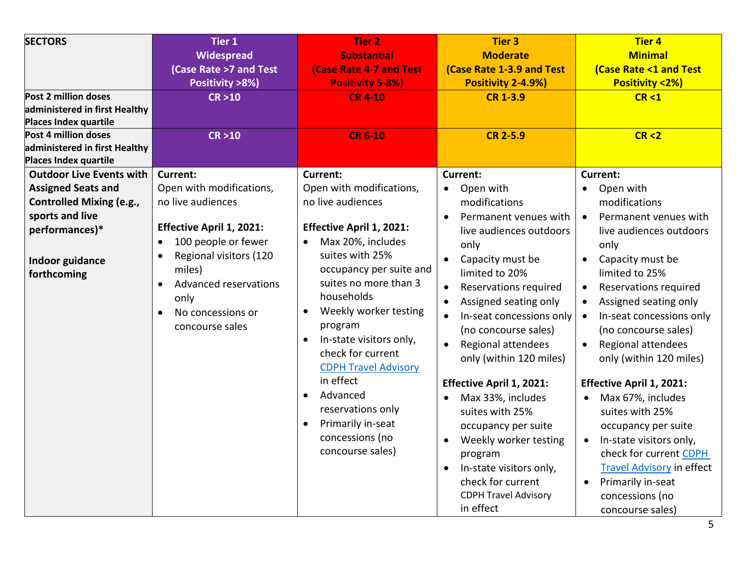| <b>SECTORS</b><br>Post 2 million doses<br>administered in first Healthy<br>Places Index quartile<br>Post 4 million doses<br>administered in first Healthy<br>Places Index quartile | <b>Tier 1</b><br>Widespread<br><b>(Case Rate &gt;7 and Test</b><br>Positivity >8%)<br>CR > 10<br>CR > 10                                                                                                                                                                                           | <b>Tier 2</b><br><b>Substantial</b><br><b>(Case Rate 4-7 and Test</b><br><b>Positivity 5-8%)</b><br><b>CR 4-10</b><br><b>CR 6-10</b>                                                                                                                                                                                                                                                                                                                                       | <b>Tier 3</b><br><b>Moderate</b><br><b>(Case Rate 1-3.9 and Test</b><br>Positivity 2-4.9%)<br><b>CR 1-3.9</b><br><b>CR 2-5.9</b>                                                                                                                                                                                                                                                                                                                                                                                                                                   | <b>Tier 4</b><br><b>Minimal</b><br><b>(Case Rate &lt;1 and Test</b><br><b>Positivity &lt;2%)</b><br>CR < 1<br>CR < 2                                                                                                                                                                                                                                                                                                                                                                                                                                                                                              |
|------------------------------------------------------------------------------------------------------------------------------------------------------------------------------------|----------------------------------------------------------------------------------------------------------------------------------------------------------------------------------------------------------------------------------------------------------------------------------------------------|----------------------------------------------------------------------------------------------------------------------------------------------------------------------------------------------------------------------------------------------------------------------------------------------------------------------------------------------------------------------------------------------------------------------------------------------------------------------------|--------------------------------------------------------------------------------------------------------------------------------------------------------------------------------------------------------------------------------------------------------------------------------------------------------------------------------------------------------------------------------------------------------------------------------------------------------------------------------------------------------------------------------------------------------------------|-------------------------------------------------------------------------------------------------------------------------------------------------------------------------------------------------------------------------------------------------------------------------------------------------------------------------------------------------------------------------------------------------------------------------------------------------------------------------------------------------------------------------------------------------------------------------------------------------------------------|
| <b>Outdoor Live Events with</b><br><b>Assigned Seats and</b><br><b>Controlled Mixing (e.g.,</b><br>sports and live<br>performances)*<br>Indoor guidance<br>forthcoming             | <b>Current:</b><br>Open with modifications,<br>no live audiences<br><b>Effective April 1, 2021:</b><br>100 people or fewer<br>$\bullet$<br>Regional visitors (120<br>$\bullet$<br>miles)<br><b>Advanced reservations</b><br>$\bullet$<br>only<br>No concessions or<br>$\bullet$<br>concourse sales | <b>Current:</b><br>Open with modifications,<br>no live audiences<br>Effective April 1, 2021:<br>Max 20%, includes<br>$\bullet$<br>suites with 25%<br>occupancy per suite and<br>suites no more than 3<br>households<br>Weekly worker testing<br>program<br>In-state visitors only,<br>$\bullet$<br>check for current<br><b>CDPH Travel Advisory</b><br>in effect<br>Advanced<br>reservations only<br>Primarily in-seat<br>$\bullet$<br>concessions (no<br>concourse sales) | <b>Current:</b><br>Open with<br>$\bullet$<br>modifications<br>Permanent venues with<br>$\bullet$<br>live audiences outdoors<br>only<br>Capacity must be<br>limited to 20%<br>Reservations required<br>Assigned seating only<br>In-seat concessions only<br>(no concourse sales)<br>Regional attendees<br>only (within 120 miles)<br><b>Effective April 1, 2021:</b><br>Max 33%, includes<br>suites with 25%<br>occupancy per suite<br>Weekly worker testing<br>program<br>In-state visitors only,<br>check for current<br><b>CDPH Travel Advisory</b><br>in effect | <b>Current:</b><br>Open with<br>modifications<br>Permanent venues with<br>$\bullet$<br>live audiences outdoors<br>only<br>Capacity must be<br>limited to 25%<br>Reservations required<br>Assigned seating only<br>In-seat concessions only<br>$\bullet$<br>(no concourse sales)<br>Regional attendees<br>only (within 120 miles)<br><b>Effective April 1, 2021:</b><br>Max 67%, includes<br>suites with 25%<br>occupancy per suite<br>In-state visitors only,<br>$\bullet$<br>check for current CDPH<br><b>Travel Advisory in effect</b><br>Primarily in-seat<br>$\bullet$<br>concessions (no<br>concourse sales) |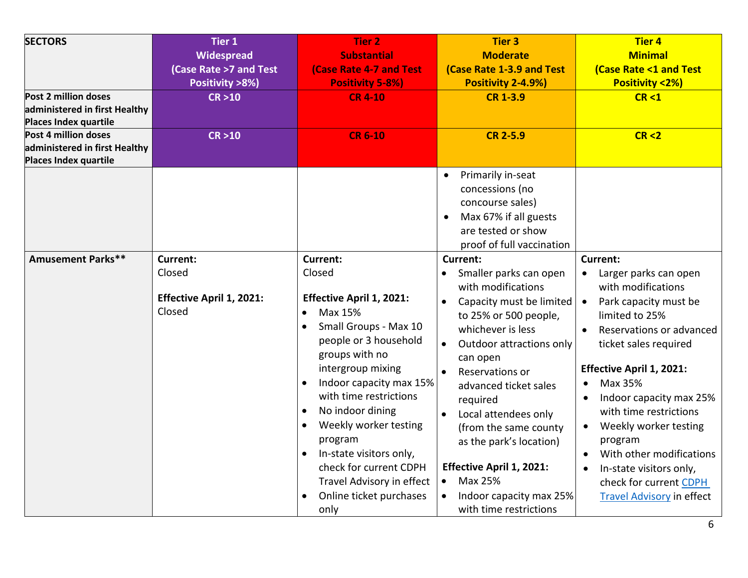| <b>SECTORS</b><br>Post 2 million doses<br>administered in first Healthy<br>Places Index quartile | Tier 1<br>Widespread<br>(Case Rate >7 and Test<br>Positivity >8%)<br>CR > 10 | <b>Tier 2</b><br><b>Substantial</b><br><b>(Case Rate 4-7 and Test</b><br><b>Positivity 5-8%)</b><br><b>CR 4-10</b>                                                                                                                                                                                                                                                                                                                                                                            | <b>Tier 3</b><br><b>Moderate</b><br>(Case Rate 1-3.9 and Test<br>Positivity 2-4.9%)<br><b>CR 1-3.9</b>                                                                                                                                                                                                                                                                                                                                                                | <b>Tier 4</b><br><b>Minimal</b><br><b>(Case Rate &lt;1 and Test</b><br><b>Positivity &lt;2%)</b><br>CR < 1                                                                                                                                                                                                                                                                                                                                                        |
|--------------------------------------------------------------------------------------------------|------------------------------------------------------------------------------|-----------------------------------------------------------------------------------------------------------------------------------------------------------------------------------------------------------------------------------------------------------------------------------------------------------------------------------------------------------------------------------------------------------------------------------------------------------------------------------------------|-----------------------------------------------------------------------------------------------------------------------------------------------------------------------------------------------------------------------------------------------------------------------------------------------------------------------------------------------------------------------------------------------------------------------------------------------------------------------|-------------------------------------------------------------------------------------------------------------------------------------------------------------------------------------------------------------------------------------------------------------------------------------------------------------------------------------------------------------------------------------------------------------------------------------------------------------------|
| Post 4 million doses<br>administered in first Healthy<br>Places Index quartile                   | CR > 10                                                                      | <b>CR 6-10</b>                                                                                                                                                                                                                                                                                                                                                                                                                                                                                | <b>CR 2-5.9</b>                                                                                                                                                                                                                                                                                                                                                                                                                                                       | CR < 2                                                                                                                                                                                                                                                                                                                                                                                                                                                            |
|                                                                                                  |                                                                              |                                                                                                                                                                                                                                                                                                                                                                                                                                                                                               | Primarily in-seat<br>$\bullet$<br>concessions (no<br>concourse sales)<br>Max 67% if all guests<br>$\bullet$<br>are tested or show<br>proof of full vaccination                                                                                                                                                                                                                                                                                                        |                                                                                                                                                                                                                                                                                                                                                                                                                                                                   |
| <b>Amusement Parks**</b>                                                                         | <b>Current:</b><br>Closed<br>Effective April 1, 2021:<br>Closed              | <b>Current:</b><br>Closed<br><b>Effective April 1, 2021:</b><br>Max 15%<br>$\bullet$<br>Small Groups - Max 10<br>$\bullet$<br>people or 3 household<br>groups with no<br>intergroup mixing<br>Indoor capacity max 15%<br>$\bullet$<br>with time restrictions<br>No indoor dining<br>$\bullet$<br>Weekly worker testing<br>$\bullet$<br>program<br>In-state visitors only,<br>$\bullet$<br>check for current CDPH<br>Travel Advisory in effect<br>Online ticket purchases<br>$\bullet$<br>only | Current:<br>Smaller parks can open<br>$\bullet$<br>with modifications<br>Capacity must be limited<br>$\bullet$<br>to 25% or 500 people,<br>whichever is less<br>Outdoor attractions only<br>can open<br>Reservations or<br>$\bullet$<br>advanced ticket sales<br>required<br>Local attendees only<br>(from the same county<br>as the park's location)<br><b>Effective April 1, 2021:</b><br>Max 25%<br>$\bullet$<br>Indoor capacity max 25%<br>with time restrictions | <b>Current:</b><br>Larger parks can open<br>with modifications<br>Park capacity must be<br>$\bullet$<br>limited to 25%<br>Reservations or advanced<br>ticket sales required<br><b>Effective April 1, 2021:</b><br>Max 35%<br>Indoor capacity max 25%<br>with time restrictions<br>Weekly worker testing<br>$\bullet$<br>program<br>With other modifications<br>In-state visitors only,<br>$\bullet$<br>check for current CDPH<br><b>Travel Advisory in effect</b> |